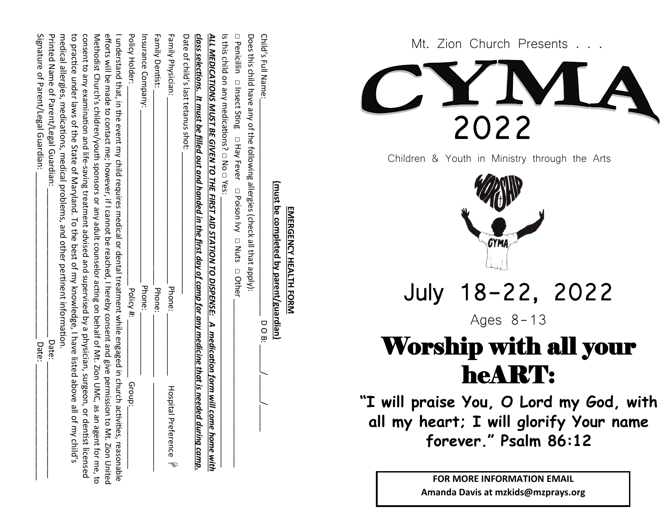| Child's Full Name:                                                                                                                                                                                                                                                                                                                            | DOB:     |                         |
|-----------------------------------------------------------------------------------------------------------------------------------------------------------------------------------------------------------------------------------------------------------------------------------------------------------------------------------------------|----------|-------------------------|
| Does this child have any of the following allergies (check all that apply):                                                                                                                                                                                                                                                                   |          |                         |
| $\Box$ Penicillin $\Box$ Insect Sting $\Box$ Hay Fever $\Box$ Paison Ivy $\Box$ Nuts $\Box$ Other                                                                                                                                                                                                                                             |          |                         |
| Is this child on any medications,'□ No □ Yes:                                                                                                                                                                                                                                                                                                 |          |                         |
| <u>ALL MEDICATIONS MUST BE GIVEN TO THE FIRST AID STATION TO DISPENSE: A medication form will come with</u>                                                                                                                                                                                                                                   |          |                         |
| <u>class selections. It must be filled out and handed in the first day of camp for any medicine that is needed during camp</u>                                                                                                                                                                                                                |          |                         |
| Date of child's last tetancs shot:                                                                                                                                                                                                                                                                                                            |          |                         |
| Family Physician:                                                                                                                                                                                                                                                                                                                             | Phone:   | Hospita<br>l Preference |
| <b>Family Dentist:</b>                                                                                                                                                                                                                                                                                                                        | Phone:   |                         |
| Insurance Company:                                                                                                                                                                                                                                                                                                                            | Phone:   |                         |
| Policy Holder:                                                                                                                                                                                                                                                                                                                                | Policy#: | Group:_                 |
| efforts will be made to contact me; however, if I cannot be reached, I hereby consent and give permission to Mt. Zion United<br>I upderstrand that, in the exert Hychild requires are disclusion of dental treatment while engaged in church a church a chiving of also had been also that it was consided in church a chiving $\sigma$       |          |                         |
| consent to any examination and life-saving treatment advised and supervised by a by a physician, surgeon, o<br>Wethodist Church's children/youth space on the partic counselor acting on behalf of the source to the source on the source on the source on the source on the source on the source on the source on the source on the source o |          | r dentist licensed      |
| to practice allased apoder 'asterdance of Maryland'. To the best of the section specified and the proced alla<br>medical allergies, medications, medical problems, and other pertinent information.                                                                                                                                           |          | of my child's           |
| Printed Name of Parent/Legal Guardian:                                                                                                                                                                                                                                                                                                        | Date:    |                         |
| Signature of Parent/Legal Guardian:                                                                                                                                                                                                                                                                                                           | Date:    |                         |

**EMERGENCY HEALTH FORM (must be completed by parent/guardian)**

(must be completed by parent/guardian) **EMERGENCY HEALTH FORM** 

CYMA

Mt. Zion Church Presents . . .

2022

Children & Youth in Ministry through the Arts

July 18 -22, 2022

Ages 8-13

## Worship with all your heART:

**"I will praise You, O Lord my God, with all my heart; I will glorify Your name forever." Psalm 86:12**

> **FOR MORE INFORMATION EMAIL Amanda Davis at mzkids@mzprays.org**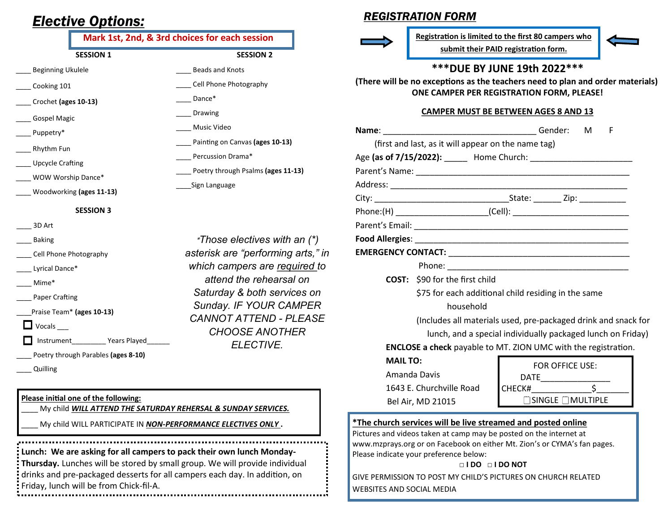## *Elective Options:*

#### **SESSION 1 SESSION 2 Mark 1st, 2nd, & 3rd choices for each session**

\_\_\_\_ Beads and Knots

Percussion Drama\*

\_\_\_\_Sign Language

Dance\* \_\_\_\_ Drawing \_\_\_\_ Music Video

Cell Phone Photography

\_\_\_\_ Painting on Canvas **(ages 10-13)**

\_\_\_\_ Poetry through Psalms **(ages 11-13)**

**\****Those electives with an (\*) asterisk are "performing arts," in which campers are required to attend the rehearsal on Saturday & both services on Sunday. IF YOUR CAMPER CANNOT ATTEND - PLEASE CHOOSE ANOTHER ELECTIVE.* 

| <b>Beginning Ukulele</b> |  |
|--------------------------|--|
|                          |  |

- Cooking 101
- \_\_\_\_ Crochet **(ages 10-13)**
- \_\_\_\_ Gospel Magic
- Puppetry\*
- \_\_\_\_ Rhythm Fun
- \_\_\_\_ Upcycle Crafting
- WOW Worship Dance\*
- \_\_\_\_ Woodworking **(ages 11-13)**
	- **SESSION 3**
- \_\_\_\_ 3D Art
- \_\_\_\_ Baking
- Cell Phone Photography
- Lyrical Dance\*
- \_\_\_\_ Mime\*
- Paper Crafting
- \_\_\_\_Praise Team\* **(ages 10-13)**

 $\Box$  Vocals

Instrument Years Played

- \_\_\_\_ Poetry through Parables **(ages 8-10)**
- \_\_\_\_ Quilling
- **Please initial one of the following:**
- My child **WILL ATTEND THE SATURDAY REHERSAL & SUNDAY SERVICES.**
- \_\_\_\_ My child WILL PARTICIPATE IN *NON-PERFORMANCE ELECTIVES ONLY* **.**

**Lunch: We are asking for all campers to pack their own lunch Monday-Thursday.** Lunches will be stored by small group. We will provide individual drinks and pre-packaged desserts for all campers each day. In addition, on Friday, lunch will be from Chick-fil-A.

### *REGISTRATION FORM*



**Registration is limited to the first 80 campers who submit their PAID registration form.**



#### **\*\*\*DUE BY JUNE 19th 2022\*\*\***

**(There will be no exceptions as the teachers need to plan and order materials) ONE CAMPER PER REGISTRATION FORM, PLEASE!** 

#### **CAMPER MUST BE BETWEEN AGES 8 AND 13**

|                                                                                                                                                | Name: Gender:                                                          |        |                        | M <sub>a</sub> | F |  |  |
|------------------------------------------------------------------------------------------------------------------------------------------------|------------------------------------------------------------------------|--------|------------------------|----------------|---|--|--|
|                                                                                                                                                | (first and last, as it will appear on the name tag)                    |        |                        |                |   |  |  |
|                                                                                                                                                | Age (as of 7/15/2022): Home Church: Network and Age (as of 7/15/2022): |        |                        |                |   |  |  |
|                                                                                                                                                |                                                                        |        |                        |                |   |  |  |
|                                                                                                                                                |                                                                        |        |                        |                |   |  |  |
|                                                                                                                                                |                                                                        |        |                        |                |   |  |  |
|                                                                                                                                                |                                                                        |        |                        |                |   |  |  |
|                                                                                                                                                |                                                                        |        |                        |                |   |  |  |
|                                                                                                                                                |                                                                        |        |                        |                |   |  |  |
|                                                                                                                                                |                                                                        |        |                        |                |   |  |  |
|                                                                                                                                                |                                                                        |        |                        |                |   |  |  |
|                                                                                                                                                | <b>COST:</b> \$90 for the first child                                  |        |                        |                |   |  |  |
|                                                                                                                                                | \$75 for each additional child residing in the same                    |        |                        |                |   |  |  |
|                                                                                                                                                | household                                                              |        |                        |                |   |  |  |
| (Includes all materials used, pre-packaged drink and snack for                                                                                 |                                                                        |        |                        |                |   |  |  |
| lunch, and a special individually packaged lunch on Friday)                                                                                    |                                                                        |        |                        |                |   |  |  |
|                                                                                                                                                | <b>ENCLOSE a check</b> payable to MT. ZION UMC with the registration.  |        |                        |                |   |  |  |
| <b>MAIL TO:</b>                                                                                                                                |                                                                        |        | <b>FOR OFFICE USE:</b> |                |   |  |  |
| Amanda Davis                                                                                                                                   |                                                                        |        |                        |                |   |  |  |
|                                                                                                                                                | 1643 E. Churchville Road                                               | CHECK# |                        | $\mathsf{S}$   |   |  |  |
|                                                                                                                                                | Bel Air, MD 21015                                                      |        | SINGLE MULTIPLE        |                |   |  |  |
| <i>*The church services will be live streamed and posted online</i>                                                                            |                                                                        |        |                        |                |   |  |  |
| Pictures and videos taken at camp may be posted on the internet at<br>www.mzprays.org or on Facebook on either Mt. Zion's or CYMA's fan pages. |                                                                        |        |                        |                |   |  |  |
| Please indicate your preference below:                                                                                                         |                                                                        |        |                        |                |   |  |  |
| $\Box$ IDO $\Box$ IDO NOT                                                                                                                      |                                                                        |        |                        |                |   |  |  |

GIVE PERMISSION TO POST MY CHILD'S PICTURES ON CHURCH RELATED WEBSITES AND SOCIAL MEDIA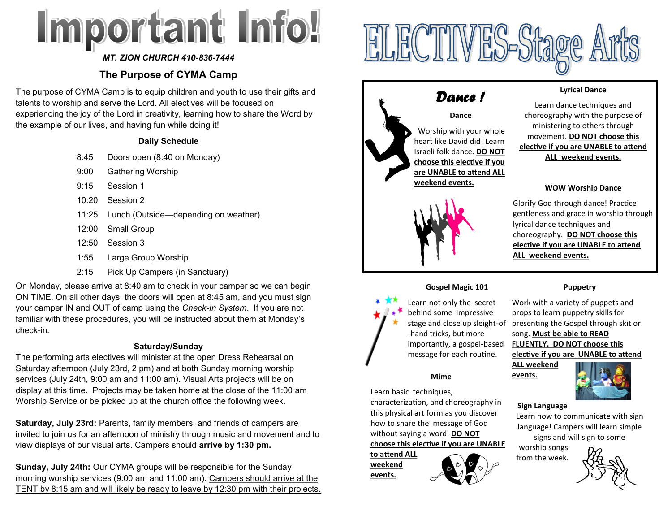# Important Info!

#### *MT. ZION CHURCH 410-836-7444*

### **The Purpose of CYMA Camp**

The purpose of CYMA Camp is to equip children and youth to use their gifts and talents to worship and serve the Lord. All electives will be focused on experiencing the joy of the Lord in creativity, learning how to share the Word by the example of our lives, and having fun while doing it!

#### **Daily Schedule**

- 8:45 Doors open (8:40 on Monday)
- 9:00 Gathering Worship
- 9:15 Session 1
- 10:20 Session 2
- 11:25 Lunch (Outside—depending on weather)
- 12:00 Small Group
- 12:50 Session 3
- 1:55 Large Group Worship
- 2:15 Pick Up Campers (in Sanctuary)

On Monday, please arrive at 8:40 am to check in your camper so we can begin ON TIME. On all other days, the doors will open at 8:45 am, and you must sign your camper IN and OUT of camp using the *Check-In System*. If you are not familiar with these procedures, you will be instructed about them at Monday's check-in.

#### **Saturday/Sunday**

The performing arts electives will minister at the open Dress Rehearsal on Saturday afternoon (July 23rd, 2 pm) and at both Sunday morning worship services (July 24th, 9:00 am and 11:00 am). Visual Arts projects will be on display at this time. Projects may be taken home at the close of the 11:00 am Worship Service or be picked up at the church office the following week.

**Saturday, July 23rd:** Parents, family members, and friends of campers are invited to join us for an afternoon of ministry through music and movement and to view displays of our visual arts. Campers should **arrive by 1:30 pm.**

**Sunday, July 24th:** Our CYMA groups will be responsible for the Sunday morning worship services (9:00 am and 11:00 am). Campers should arrive at the TENT by 8:15 am and will likely be ready to leave by 12:30 pm with their projects.



**ELECTIVES-Stage A** 

#### **Lyrical Dance**

Learn dance techniques and choreography with the purpose of ministering to others through movement. **DO NOT choose this elective if you are UNABLE to attend ALL weekend events.**

#### **WOW Worship Dance**

Glorify God through dance! Practice gentleness and grace in worship through lyrical dance techniques and choreography. **DO NOT choose this elective if you are UNABLE to attend ALL weekend events.**

#### **Gospel Magic 101**



Learn not only the secret behind some impressive stage and close up sleight-of -hand tricks, but more importantly, a gospel-based message for each routine.

#### **Mime**

Learn basic techniques,

characterization, and choreography in this physical art form as you discover how to share the message of God without saying a word. **DO NOT choose this elective if you are UNABLE** 

**to attend ALL weekend events.**

## **Puppetry**

Work with a variety of puppets and props to learn puppetry skills for presenting the Gospel through skit or song. **Must be able to READ FLUENTLY. DO NOT choose this elective if you are UNABLE to attend** 

**ALL weekend events.** 



#### **Sign Language**

Learn how to communicate with sign language! Campers will learn simple signs and will sign to some

worship songs from the week.